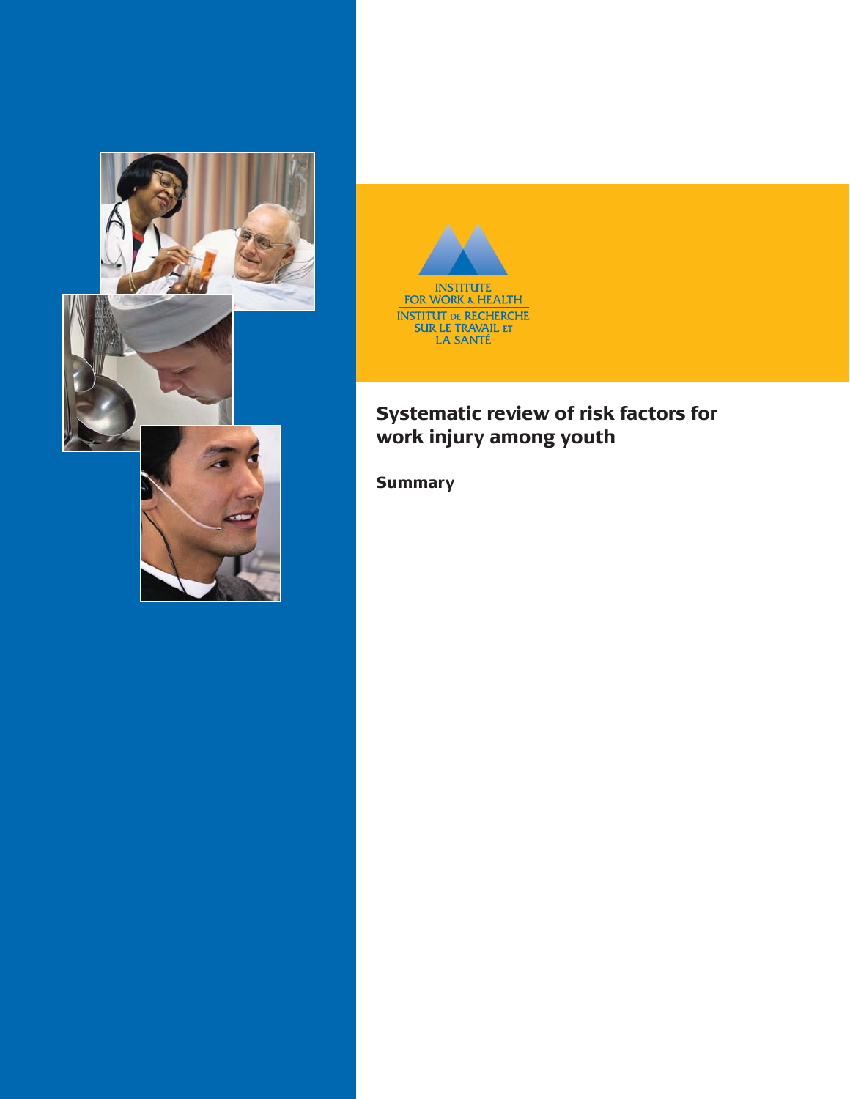



# **Systematic review of risk factors for work injury among youth**

**Summary**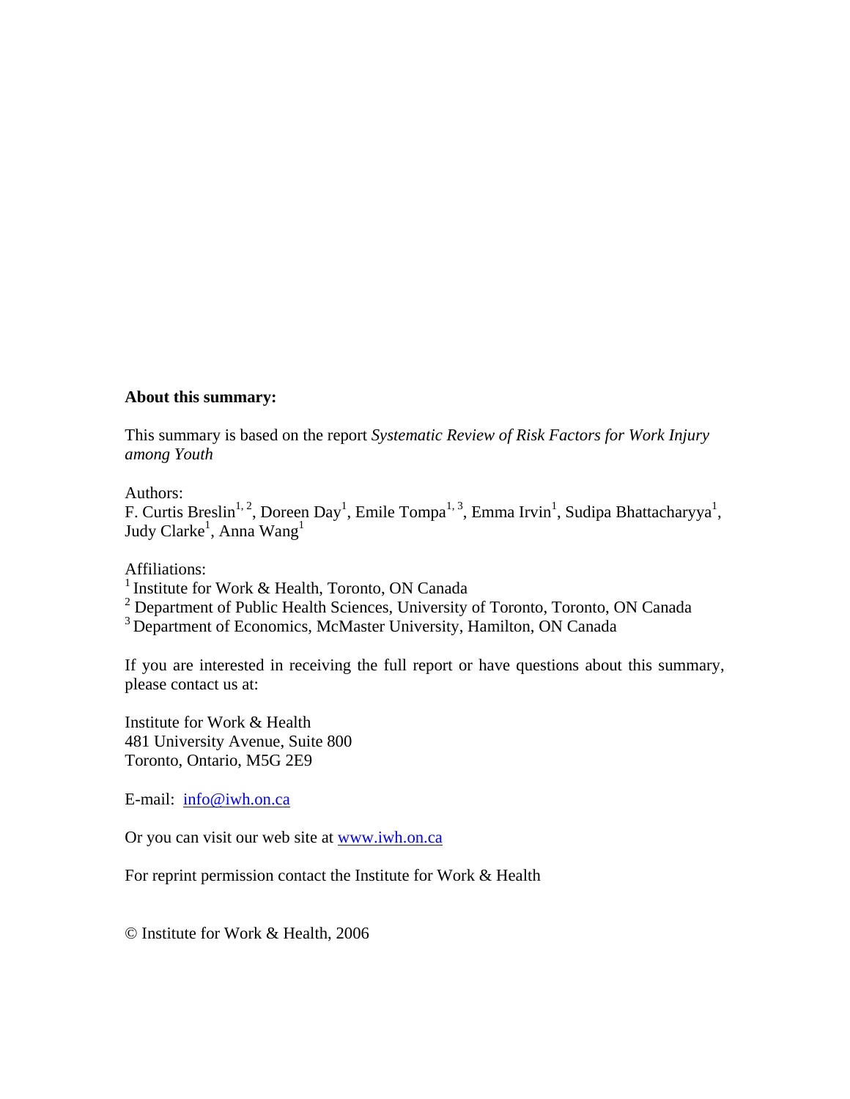#### **About this summary:**

This summary is based on the report *Systematic Review of Risk Factors for Work Injury among Youth*

#### Authors:

F. Curtis Breslin<sup>1, 2</sup>, Doreen Day<sup>1</sup>, Emile Tompa<sup>1, 3</sup>, Emma Irvin<sup>1</sup>, Sudipa Bhattacharyya<sup>1</sup>, Judy Clarke $^{\rm l}$ , Anna Wang $^{\rm l}$ 

Affiliations:

<sup>1</sup> Institute for Work & Health, Toronto, ON Canada

<sup>2</sup> Department of Public Health Sciences, University of Toronto, Toronto, ON Canada

<sup>3</sup> Department of Economics, McMaster University, Hamilton, ON Canada

If you are interested in receiving the full report or have questions about this summary, please contact us at:

Institute for Work & Health 481 University Avenue, Suite 800 Toronto, Ontario, M5G 2E9

E-mail: info@iwh.on.ca

Or you can visit our web site at www.iwh.on.ca

For reprint permission contact the Institute for Work & Health

© Institute for Work & Health, 2006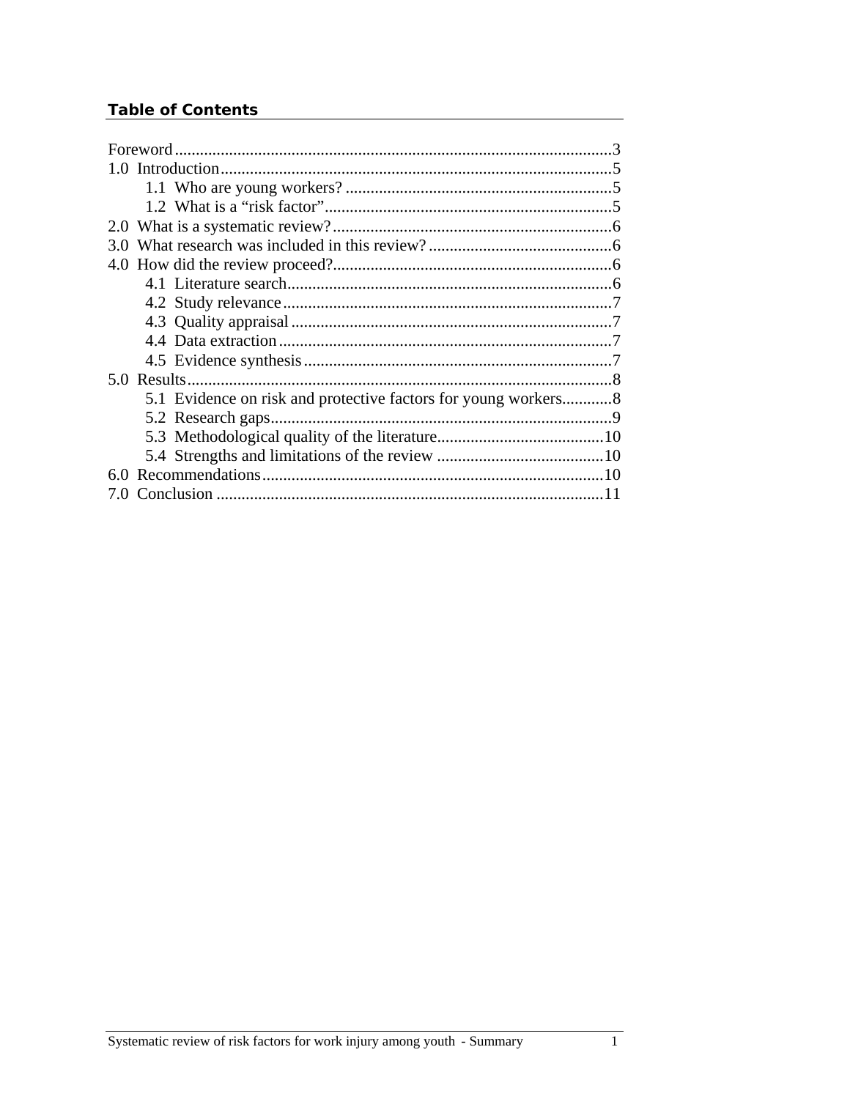## **Table of Contents**

| 1 <sub>0</sub> |  |
|----------------|--|
|                |  |
|                |  |
|                |  |
|                |  |
|                |  |
|                |  |
|                |  |
|                |  |
|                |  |
|                |  |
|                |  |
|                |  |
|                |  |
|                |  |
|                |  |
|                |  |
|                |  |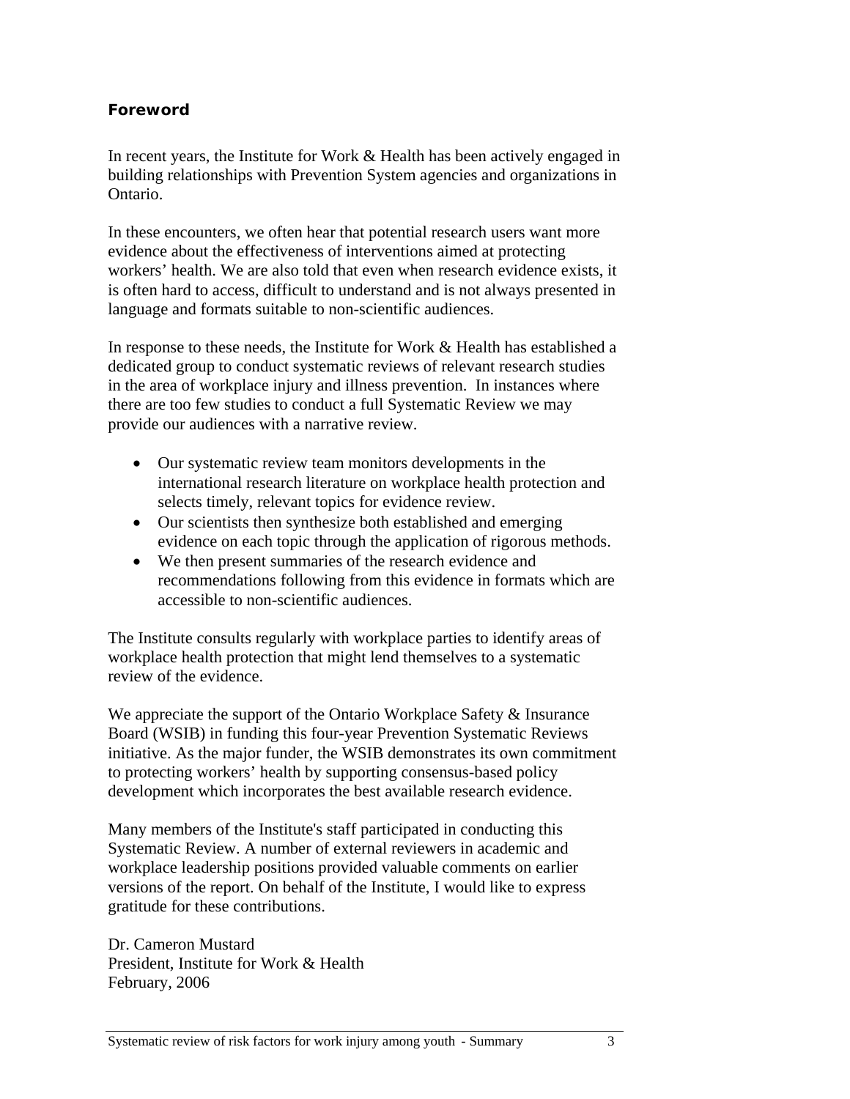### **Foreword**

In recent years, the Institute for Work & Health has been actively engaged in building relationships with Prevention System agencies and organizations in Ontario.

In these encounters, we often hear that potential research users want more evidence about the effectiveness of interventions aimed at protecting workers' health. We are also told that even when research evidence exists, it is often hard to access, difficult to understand and is not always presented in language and formats suitable to non-scientific audiences.

In response to these needs, the Institute for Work & Health has established a dedicated group to conduct systematic reviews of relevant research studies in the area of workplace injury and illness prevention. In instances where there are too few studies to conduct a full Systematic Review we may provide our audiences with a narrative review.

- Our systematic review team monitors developments in the international research literature on workplace health protection and selects timely, relevant topics for evidence review.
- Our scientists then synthesize both established and emerging evidence on each topic through the application of rigorous methods.
- We then present summaries of the research evidence and recommendations following from this evidence in formats which are accessible to non-scientific audiences.

The Institute consults regularly with workplace parties to identify areas of workplace health protection that might lend themselves to a systematic review of the evidence.

We appreciate the support of the Ontario Workplace Safety & Insurance Board (WSIB) in funding this four-year Prevention Systematic Reviews initiative. As the major funder, the WSIB demonstrates its own commitment to protecting workers' health by supporting consensus-based policy development which incorporates the best available research evidence.

Many members of the Institute's staff participated in conducting this Systematic Review. A number of external reviewers in academic and workplace leadership positions provided valuable comments on earlier versions of the report. On behalf of the Institute, I would like to express gratitude for these contributions.

Dr. Cameron Mustard President, Institute for Work & Health February, 2006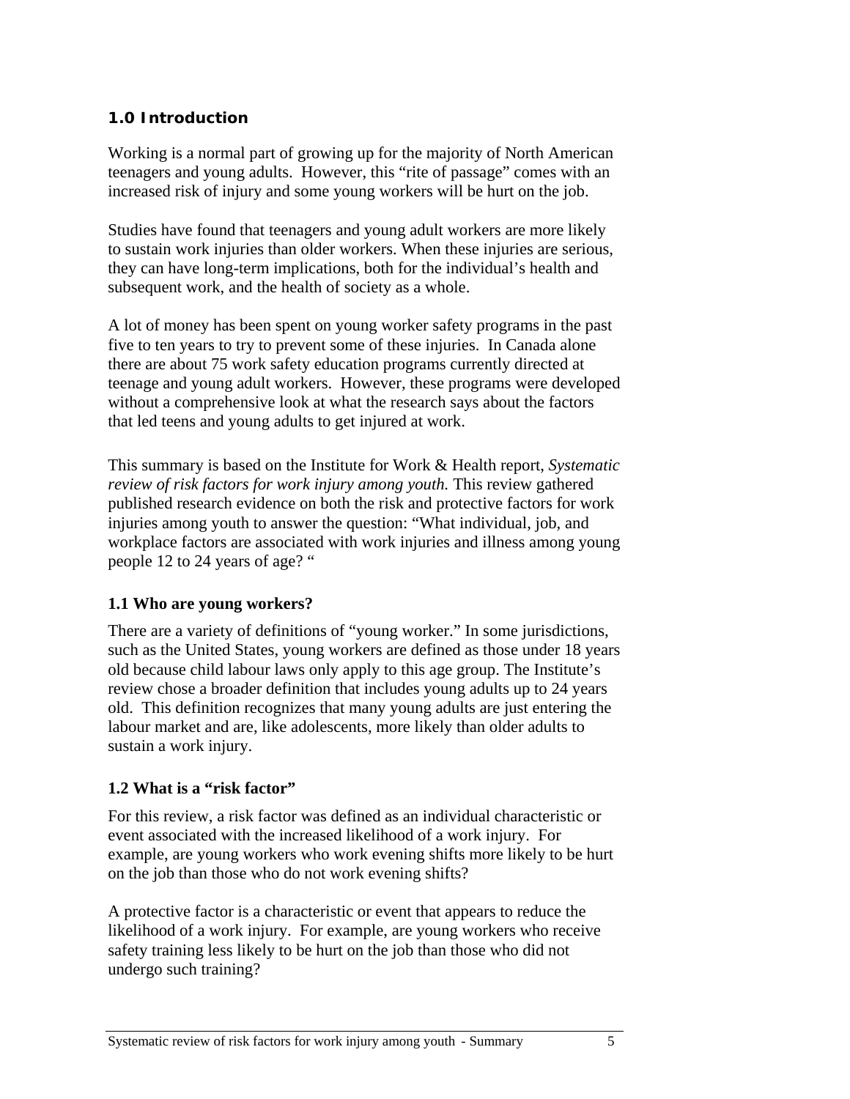### **1.0 Introduction**

Working is a normal part of growing up for the majority of North American teenagers and young adults. However, this "rite of passage" comes with an increased risk of injury and some young workers will be hurt on the job.

Studies have found that teenagers and young adult workers are more likely to sustain work injuries than older workers. When these injuries are serious, they can have long-term implications, both for the individual's health and subsequent work, and the health of society as a whole.

A lot of money has been spent on young worker safety programs in the past five to ten years to try to prevent some of these injuries. In Canada alone there are about 75 work safety education programs currently directed at teenage and young adult workers. However, these programs were developed without a comprehensive look at what the research says about the factors that led teens and young adults to get injured at work.

This summary is based on the Institute for Work & Health report, *Systematic review of risk factors for work injury among youth.* This review gathered published research evidence on both the risk and protective factors for work injuries among youth to answer the question: "What individual, job, and workplace factors are associated with work injuries and illness among young people 12 to 24 years of age? "

### **1.1 Who are young workers?**

There are a variety of definitions of "young worker." In some jurisdictions, such as the United States, young workers are defined as those under 18 years old because child labour laws only apply to this age group. The Institute's review chose a broader definition that includes young adults up to 24 years old. This definition recognizes that many young adults are just entering the labour market and are, like adolescents, more likely than older adults to sustain a work injury.

### **1.2 What is a "risk factor"**

For this review, a risk factor was defined as an individual characteristic or event associated with the increased likelihood of a work injury. For example, are young workers who work evening shifts more likely to be hurt on the job than those who do not work evening shifts?

A protective factor is a characteristic or event that appears to reduce the likelihood of a work injury. For example, are young workers who receive safety training less likely to be hurt on the job than those who did not undergo such training?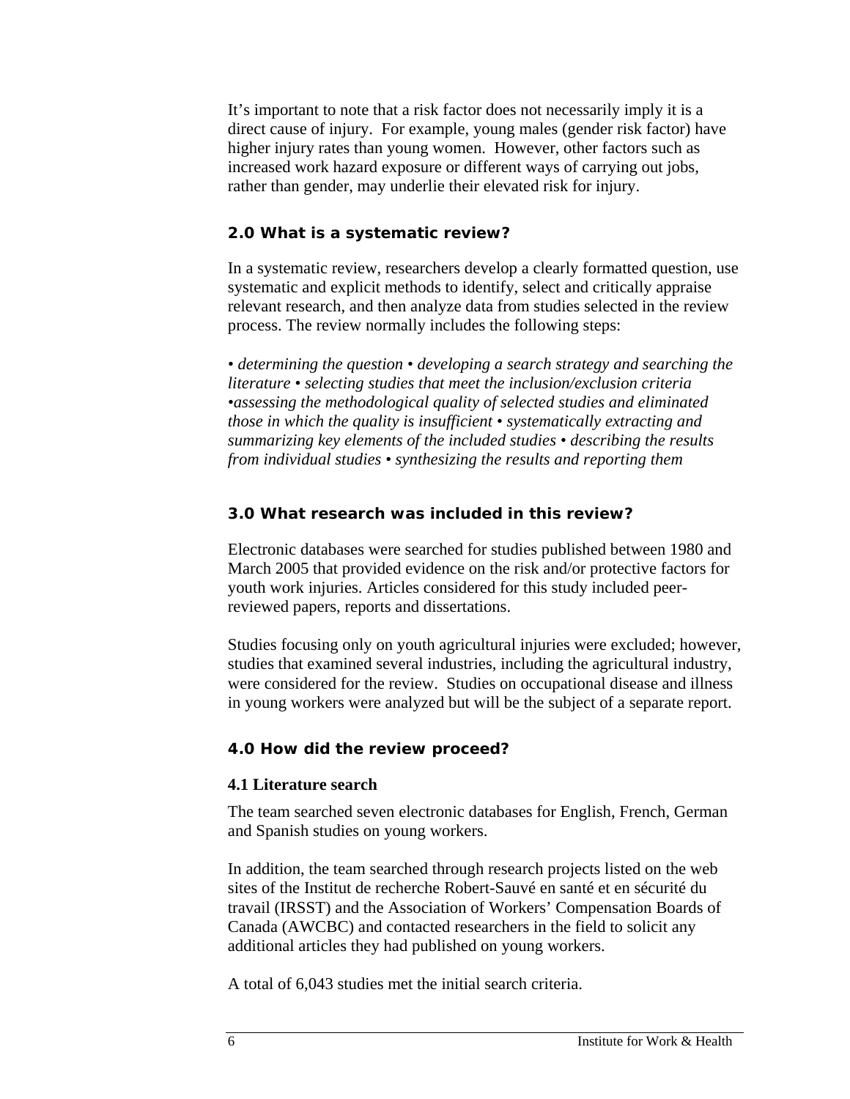It's important to note that a risk factor does not necessarily imply it is a direct cause of injury. For example, young males (gender risk factor) have higher injury rates than young women. However, other factors such as increased work hazard exposure or different ways of carrying out jobs, rather than gender, may underlie their elevated risk for injury.

#### **2.0 What is a systematic review?**

In a systematic review, researchers develop a clearly formatted question, use systematic and explicit methods to identify, select and critically appraise relevant research, and then analyze data from studies selected in the review process. The review normally includes the following steps:

*• determining the question • developing a search strategy and searching the literature • selecting studies that meet the inclusion/exclusion criteria •assessing the methodological quality of selected studies and eliminated those in which the quality is insufficient • systematically extracting and summarizing key elements of the included studies • describing the results from individual studies • synthesizing the results and reporting them* 

#### **3.0 What research was included in this review?**

Electronic databases were searched for studies published between 1980 and March 2005 that provided evidence on the risk and/or protective factors for youth work injuries. Articles considered for this study included peerreviewed papers, reports and dissertations.

Studies focusing only on youth agricultural injuries were excluded; however, studies that examined several industries, including the agricultural industry, were considered for the review. Studies on occupational disease and illness in young workers were analyzed but will be the subject of a separate report.

### **4.0 How did the review proceed?**

#### **4.1 Literature search**

The team searched seven electronic databases for English, French, German and Spanish studies on young workers.

In addition, the team searched through research projects listed on the web sites of the Institut de recherche Robert-Sauvé en santé et en sécurité du travail (IRSST) and the Association of Workers' Compensation Boards of Canada (AWCBC) and contacted researchers in the field to solicit any additional articles they had published on young workers.

A total of 6,043 studies met the initial search criteria.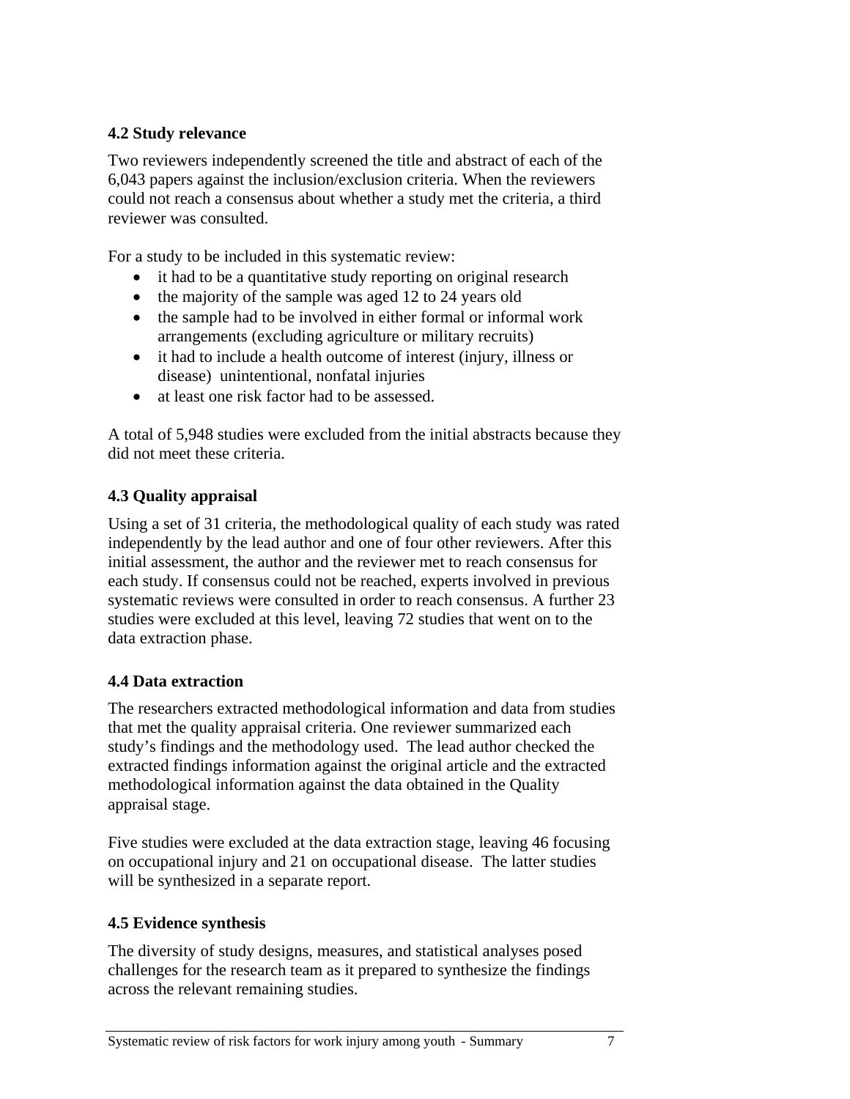### **4.2 Study relevance**

Two reviewers independently screened the title and abstract of each of the 6,043 papers against the inclusion/exclusion criteria. When the reviewers could not reach a consensus about whether a study met the criteria, a third reviewer was consulted.

For a study to be included in this systematic review:

- it had to be a quantitative study reporting on original research
- the majority of the sample was aged 12 to 24 years old
- the sample had to be involved in either formal or informal work arrangements (excluding agriculture or military recruits)
- it had to include a health outcome of interest (injury, illness or disease) unintentional, nonfatal injuries
- at least one risk factor had to be assessed.

A total of 5,948 studies were excluded from the initial abstracts because they did not meet these criteria.

### **4.3 Quality appraisal**

Using a set of 31 criteria, the methodological quality of each study was rated independently by the lead author and one of four other reviewers. After this initial assessment, the author and the reviewer met to reach consensus for each study. If consensus could not be reached, experts involved in previous systematic reviews were consulted in order to reach consensus. A further 23 studies were excluded at this level, leaving 72 studies that went on to the data extraction phase.

### **4.4 Data extraction**

The researchers extracted methodological information and data from studies that met the quality appraisal criteria. One reviewer summarized each study's findings and the methodology used. The lead author checked the extracted findings information against the original article and the extracted methodological information against the data obtained in the Quality appraisal stage.

Five studies were excluded at the data extraction stage, leaving 46 focusing on occupational injury and 21 on occupational disease. The latter studies will be synthesized in a separate report.

### **4.5 Evidence synthesis**

The diversity of study designs, measures, and statistical analyses posed challenges for the research team as it prepared to synthesize the findings across the relevant remaining studies.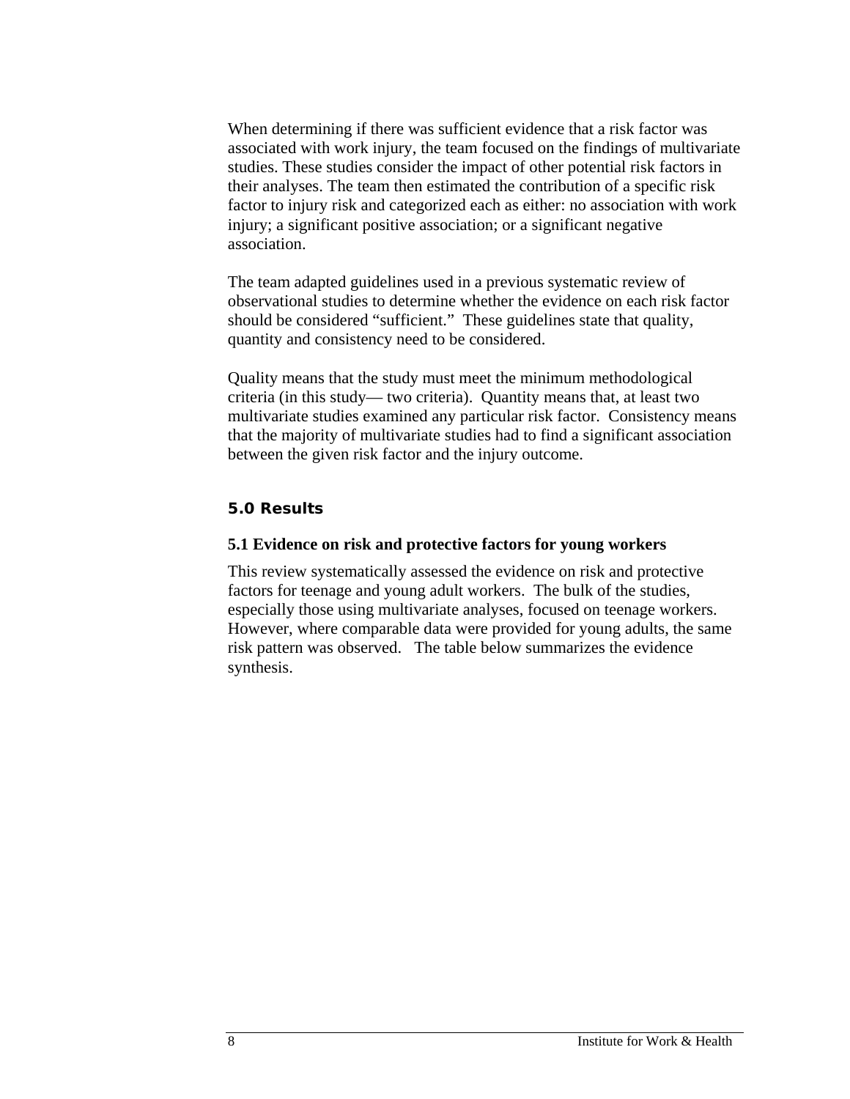When determining if there was sufficient evidence that a risk factor was associated with work injury, the team focused on the findings of multivariate studies. These studies consider the impact of other potential risk factors in their analyses. The team then estimated the contribution of a specific risk factor to injury risk and categorized each as either: no association with work injury; a significant positive association; or a significant negative association.

The team adapted guidelines used in a previous systematic review of observational studies to determine whether the evidence on each risk factor should be considered "sufficient." These guidelines state that quality, quantity and consistency need to be considered.

Quality means that the study must meet the minimum methodological criteria (in this study— two criteria). Quantity means that, at least two multivariate studies examined any particular risk factor. Consistency means that the majority of multivariate studies had to find a significant association between the given risk factor and the injury outcome.

#### **5.0 Results**

#### **5.1 Evidence on risk and protective factors for young workers**

This review systematically assessed the evidence on risk and protective factors for teenage and young adult workers. The bulk of the studies, especially those using multivariate analyses, focused on teenage workers. However, where comparable data were provided for young adults, the same risk pattern was observed. The table below summarizes the evidence synthesis.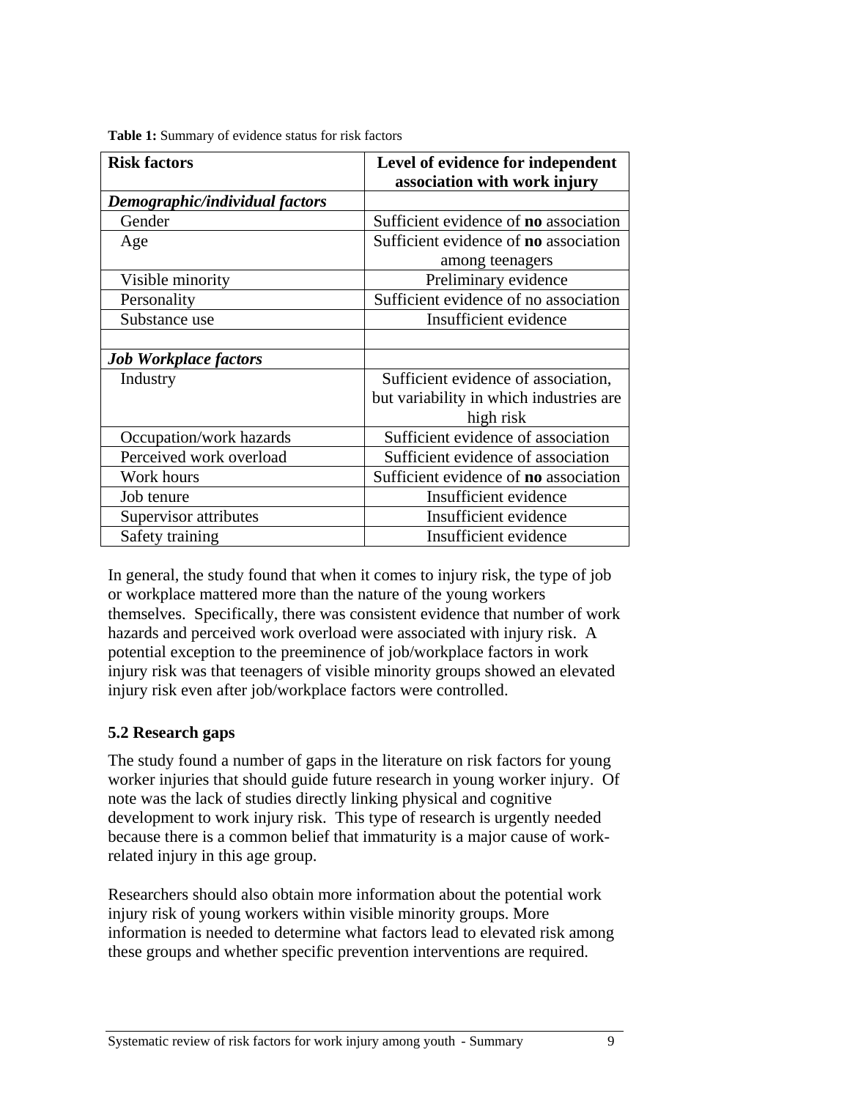| <b>Risk factors</b>            | Level of evidence for independent<br>association with work injury |
|--------------------------------|-------------------------------------------------------------------|
| Demographic/individual factors |                                                                   |
| Gender                         | Sufficient evidence of <b>no</b> association                      |
| Age                            | Sufficient evidence of <b>no</b> association                      |
|                                | among teenagers                                                   |
| Visible minority               | Preliminary evidence                                              |
| Personality                    | Sufficient evidence of no association                             |
| Substance use                  | Insufficient evidence                                             |
|                                |                                                                   |
| <b>Job Workplace factors</b>   |                                                                   |
| Industry                       | Sufficient evidence of association,                               |
|                                | but variability in which industries are                           |
|                                | high risk                                                         |
| Occupation/work hazards        | Sufficient evidence of association                                |
| Perceived work overload        | Sufficient evidence of association                                |
| Work hours                     | Sufficient evidence of <b>no</b> association                      |
| Job tenure                     | Insufficient evidence                                             |
| Supervisor attributes          | Insufficient evidence                                             |
| Safety training                | Insufficient evidence                                             |

**Table 1:** Summary of evidence status for risk factors

In general, the study found that when it comes to injury risk, the type of job or workplace mattered more than the nature of the young workers themselves. Specifically, there was consistent evidence that number of work hazards and perceived work overload were associated with injury risk. A potential exception to the preeminence of job/workplace factors in work injury risk was that teenagers of visible minority groups showed an elevated injury risk even after job/workplace factors were controlled.

### **5.2 Research gaps**

The study found a number of gaps in the literature on risk factors for young worker injuries that should guide future research in young worker injury. Of note was the lack of studies directly linking physical and cognitive development to work injury risk. This type of research is urgently needed because there is a common belief that immaturity is a major cause of workrelated injury in this age group.

Researchers should also obtain more information about the potential work injury risk of young workers within visible minority groups. More information is needed to determine what factors lead to elevated risk among these groups and whether specific prevention interventions are required.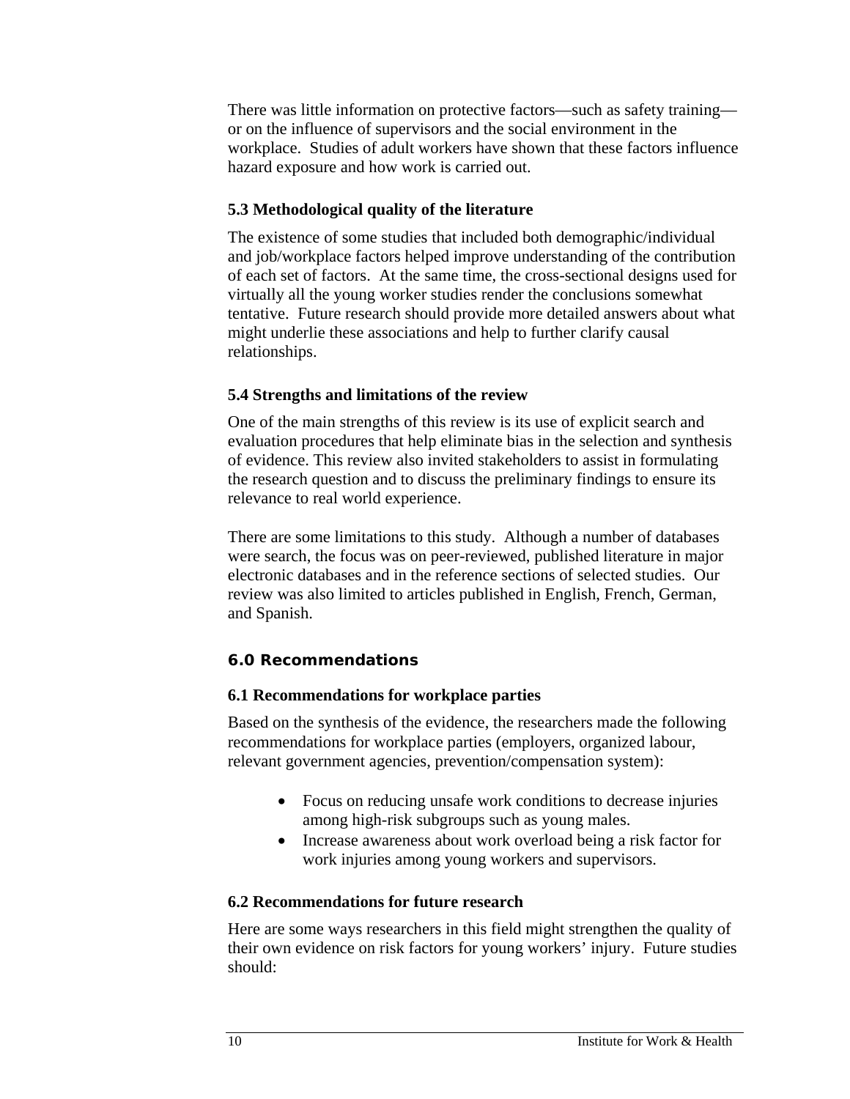There was little information on protective factors—such as safety training or on the influence of supervisors and the social environment in the workplace. Studies of adult workers have shown that these factors influence hazard exposure and how work is carried out.

### **5.3 Methodological quality of the literature**

The existence of some studies that included both demographic/individual and job/workplace factors helped improve understanding of the contribution of each set of factors. At the same time, the cross-sectional designs used for virtually all the young worker studies render the conclusions somewhat tentative. Future research should provide more detailed answers about what might underlie these associations and help to further clarify causal relationships.

### **5.4 Strengths and limitations of the review**

One of the main strengths of this review is its use of explicit search and evaluation procedures that help eliminate bias in the selection and synthesis of evidence. This review also invited stakeholders to assist in formulating the research question and to discuss the preliminary findings to ensure its relevance to real world experience.

There are some limitations to this study. Although a number of databases were search, the focus was on peer-reviewed, published literature in major electronic databases and in the reference sections of selected studies. Our review was also limited to articles published in English, French, German, and Spanish.

### **6.0 Recommendations**

### **6.1 Recommendations for workplace parties**

Based on the synthesis of the evidence, the researchers made the following recommendations for workplace parties (employers, organized labour, relevant government agencies, prevention/compensation system):

- Focus on reducing unsafe work conditions to decrease injuries among high-risk subgroups such as young males.
- Increase awareness about work overload being a risk factor for work injuries among young workers and supervisors.

### **6.2 Recommendations for future research**

Here are some ways researchers in this field might strengthen the quality of their own evidence on risk factors for young workers' injury. Future studies should: